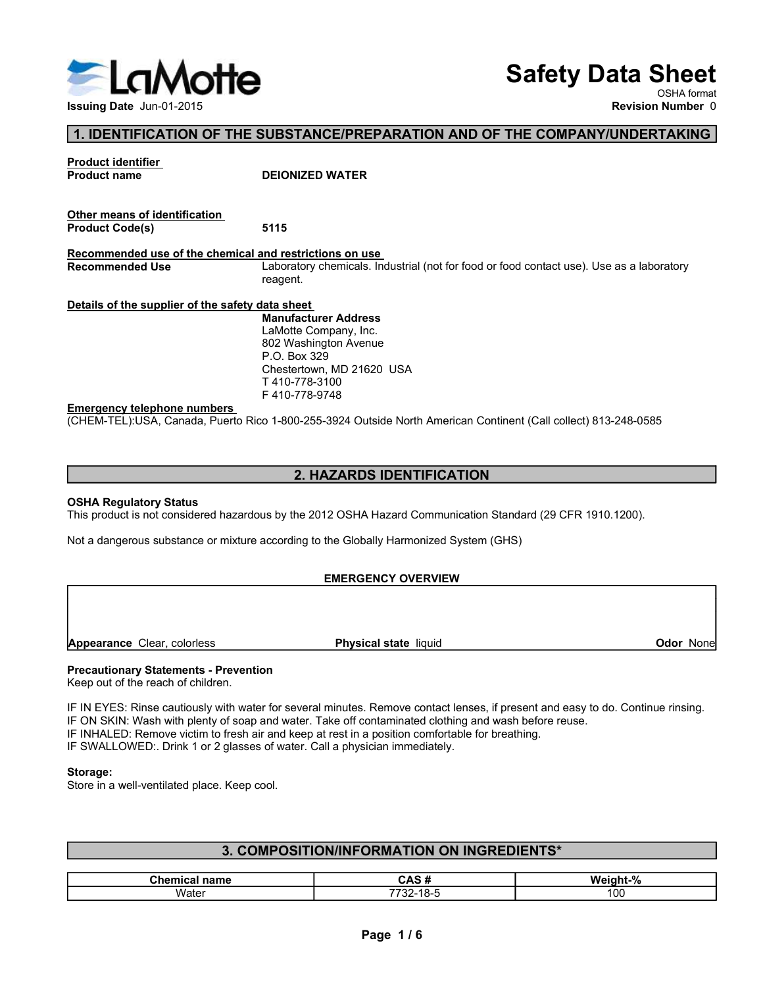

# Safety Data Sheet

# 1. IDENTIFICATION OF THE SUBSTANCE/PREPARATION AND OF THE COMPANY/UNDERTAKING

| LaMotte                                                                           |                                                                                                                                                                                                                                                                                                                                                                                                                              | <b>Safety Data Sheet</b> |                                         |
|-----------------------------------------------------------------------------------|------------------------------------------------------------------------------------------------------------------------------------------------------------------------------------------------------------------------------------------------------------------------------------------------------------------------------------------------------------------------------------------------------------------------------|--------------------------|-----------------------------------------|
| Issuing Date Jun-01-2015                                                          |                                                                                                                                                                                                                                                                                                                                                                                                                              |                          | OSHA format<br><b>Revision Number 0</b> |
|                                                                                   | 1. IDENTIFICATION OF THE SUBSTANCE/PREPARATION AND OF THE COMPANY/UNDERTAKING                                                                                                                                                                                                                                                                                                                                                |                          |                                         |
| <b>Product identifier</b><br><b>Product name</b>                                  | <b>DEIONIZED WATER</b>                                                                                                                                                                                                                                                                                                                                                                                                       |                          |                                         |
| Other means of identification<br><b>Product Code(s)</b>                           | 5115                                                                                                                                                                                                                                                                                                                                                                                                                         |                          |                                         |
| Recommended use of the chemical and restrictions on use<br><b>Recommended Use</b> | Laboratory chemicals. Industrial (not for food or food contact use). Use as a laboratory<br>reagent.                                                                                                                                                                                                                                                                                                                         |                          |                                         |
| Details of the supplier of the safety data sheet                                  | <b>Manufacturer Address</b><br>LaMotte Company, Inc.<br>802 Washington Avenue<br>P.O. Box 329<br>Chestertown, MD 21620 USA<br>T410-778-3100<br>F410-778-9748                                                                                                                                                                                                                                                                 |                          |                                         |
| <b>Emergency telephone numbers</b>                                                | (CHEM-TEL):USA, Canada, Puerto Rico 1-800-255-3924 Outside North American Continent (Call collect) 813-248-0585                                                                                                                                                                                                                                                                                                              |                          |                                         |
|                                                                                   | 2. HAZARDS IDENTIFICATION                                                                                                                                                                                                                                                                                                                                                                                                    |                          |                                         |
| <b>OSHA Regulatory Status</b>                                                     |                                                                                                                                                                                                                                                                                                                                                                                                                              |                          |                                         |
|                                                                                   | This product is not considered hazardous by the 2012 OSHA Hazard Communication Standard (29 CFR 1910.1200).<br>Not a dangerous substance or mixture according to the Globally Harmonized System (GHS)                                                                                                                                                                                                                        |                          |                                         |
|                                                                                   | <b>EMERGENCY OVERVIEW</b>                                                                                                                                                                                                                                                                                                                                                                                                    |                          |                                         |
| Appearance Clear, colorless                                                       | Physical state liquid                                                                                                                                                                                                                                                                                                                                                                                                        |                          | <b>Odor None</b>                        |
| <b>Precautionary Statements - Prevention</b>                                      |                                                                                                                                                                                                                                                                                                                                                                                                                              |                          |                                         |
| Keep out of the reach of children.                                                | IF IN EYES: Rinse cautiously with water for several minutes. Remove contact lenses, if present and easy to do. Continue rinsing.<br>IF ON SKIN: Wash with plenty of soap and water. Take off contaminated clothing and wash before reuse.<br>IF INHALED: Remove victim to fresh air and keep at rest in a position comfortable for breathing.<br>IF SWALLOWED:. Drink 1 or 2 glasses of water. Call a physician immediately. |                          |                                         |

# 2. HAZARDS IDENTIFICATION

# EMERGENCY OVERVIEW

IF IN EYES: Rinse cautiously with water for several minutes. Remove contact lenses, if present and easy to do. Continue rinsing. Emargency telephone numbers<br>
IF 410-778-9748<br>
CONEM-TELYUSA, Canada, Puerto Rico 1-800-255-3924 Outside North American Continent (Call collect) 813-248-0585<br>
2. HAZARDS IDENTIFICATION<br>
IThis product is not considered hazar **EMPIGENCY GOVERVIEW**<br>
2. HAZARDS IDENTIFICATION<br>
2. HAZARDS IDENTIFICATION<br>
SOHA Regulatory Status<br>
This product is not considered hazardous by the 2012 OSHA Hazard Communication Standard (29 CFR 1910.1200).<br>
Not a danger UHENN EELFUSA, Canada, Fuend Rico 1-800-250-3924 Outside North American Continent (Call collect) 8.13-248-0566<br>
This product is not considered hazardous by the 2012 OSHA Hazard Communication Standard (29 CFR 1910.1200).<br>
N 2. HAZARDS IDENTIFICATION<br>
SHA Regulatory Status<br>
This product is not considered hazardous by the 2012 OSHA Hazard Communication Standard (29 CFR 1910.1200).<br>
Not a dangerous substance or mixture according to the Globally

# Storage:

| <b>EMERGENCY OVERVIEW</b>                                                          |                                                                                                                                                                                                                                                                                                                                               |                  |  |  |  |  |  |
|------------------------------------------------------------------------------------|-----------------------------------------------------------------------------------------------------------------------------------------------------------------------------------------------------------------------------------------------------------------------------------------------------------------------------------------------|------------------|--|--|--|--|--|
| Appearance Clear, colorless                                                        | Physical state liquid                                                                                                                                                                                                                                                                                                                         | <b>Odor None</b> |  |  |  |  |  |
| <b>Precautionary Statements - Prevention</b><br>Keep out of the reach of children. |                                                                                                                                                                                                                                                                                                                                               |                  |  |  |  |  |  |
| IF SWALLOWED:. Drink 1 or 2 glasses of water. Call a physician immediately.        | IF IN EYES: Rinse cautiously with water for several minutes. Remove contact lenses, if present and easy to do. Continue rinsing.<br>IF ON SKIN: Wash with plenty of soap and water. Take off contaminated clothing and wash before reuse.<br>IF INHALED: Remove victim to fresh air and keep at rest in a position comfortable for breathing. |                  |  |  |  |  |  |
| Storage:<br>Store in a well-ventilated place. Keep cool.                           |                                                                                                                                                                                                                                                                                                                                               |                  |  |  |  |  |  |
|                                                                                    | 3. COMPOSITION/INFORMATION ON INGREDIENTS*                                                                                                                                                                                                                                                                                                    |                  |  |  |  |  |  |
|                                                                                    |                                                                                                                                                                                                                                                                                                                                               |                  |  |  |  |  |  |
| <b>Chemical name</b>                                                               | CAS#                                                                                                                                                                                                                                                                                                                                          | Weight-%         |  |  |  |  |  |
| Water                                                                              | 7732-18-5                                                                                                                                                                                                                                                                                                                                     | 100              |  |  |  |  |  |
|                                                                                    |                                                                                                                                                                                                                                                                                                                                               |                  |  |  |  |  |  |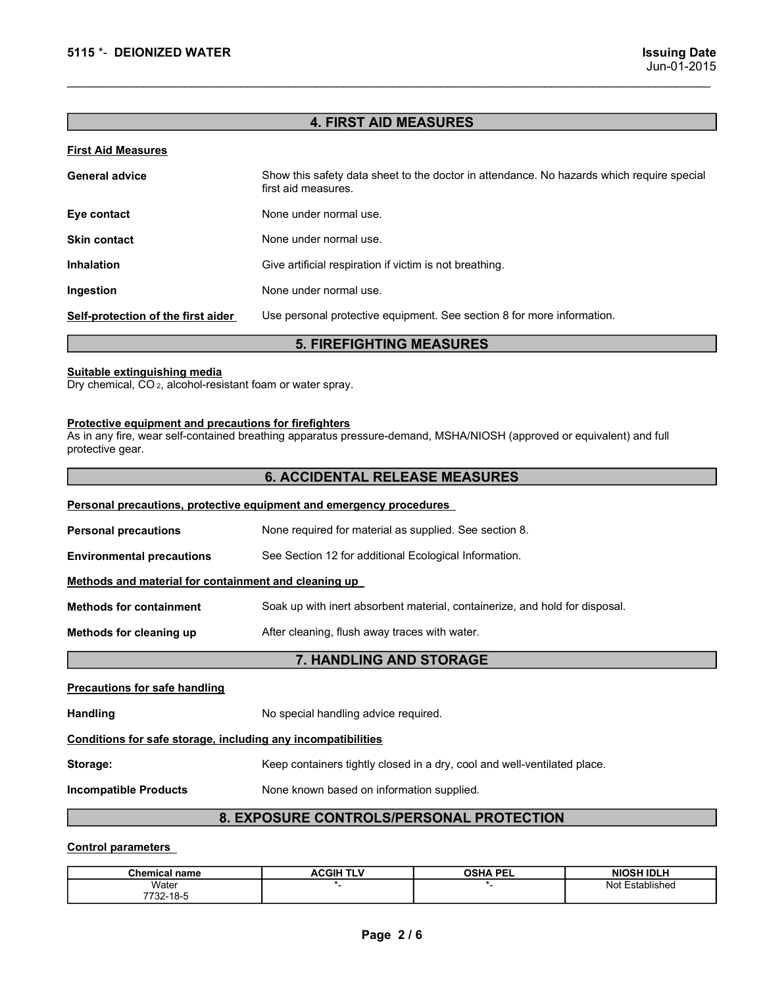# 4. FIRST AID MEASURES

| 5115 *- DEIONIZED WATER                                                                                | <b>Issuing Date</b><br>Jun-01-2015                                                                                    |  |  |  |  |  |
|--------------------------------------------------------------------------------------------------------|-----------------------------------------------------------------------------------------------------------------------|--|--|--|--|--|
|                                                                                                        | <b>4. FIRST AID MEASURES</b>                                                                                          |  |  |  |  |  |
| <b>First Aid Measures</b>                                                                              |                                                                                                                       |  |  |  |  |  |
| <b>General advice</b>                                                                                  | Show this safety data sheet to the doctor in attendance. No hazards which require special<br>first aid measures.      |  |  |  |  |  |
| Eye contact                                                                                            | None under normal use.                                                                                                |  |  |  |  |  |
| <b>Skin contact</b>                                                                                    | None under normal use.                                                                                                |  |  |  |  |  |
| <b>Inhalation</b>                                                                                      | Give artificial respiration if victim is not breathing.                                                               |  |  |  |  |  |
| Ingestion                                                                                              | None under normal use.                                                                                                |  |  |  |  |  |
| Self-protection of the first aider                                                                     | Use personal protective equipment. See section 8 for more information.                                                |  |  |  |  |  |
|                                                                                                        | <b>5. FIREFIGHTING MEASURES</b>                                                                                       |  |  |  |  |  |
| Suitable extinguishing media<br>Dry chemical, CO <sub>2</sub> , alcohol-resistant foam or water spray. |                                                                                                                       |  |  |  |  |  |
| Protective equipment and precautions for firefighters<br>protective gear.                              | As in any fire, wear self-contained breathing apparatus pressure-demand, MSHA/NIOSH (approved or equivalent) and full |  |  |  |  |  |
|                                                                                                        | <b>6. ACCIDENTAL RELEASE MEASURES</b>                                                                                 |  |  |  |  |  |
|                                                                                                        | Personal precautions, protective equipment and emergency procedures                                                   |  |  |  |  |  |
| <b>Personal precautions</b>                                                                            | None required for material as supplied. See section 8.                                                                |  |  |  |  |  |
| <b>Environmental precautions</b>                                                                       | See Section 12 for additional Ecological Information.                                                                 |  |  |  |  |  |
| Methods and material for containment and cleaning up                                                   |                                                                                                                       |  |  |  |  |  |
| <b>Methods for containment</b>                                                                         | Soak up with inert absorbent material, containerize, and hold for disposal.                                           |  |  |  |  |  |

# 6. ACCIDENTAL RELEASE MEASURES

| <b>Skin contact</b>                                                                                                                                                                                | None under normal use.                                                      |                 |                   |  |  |  |  |  |
|----------------------------------------------------------------------------------------------------------------------------------------------------------------------------------------------------|-----------------------------------------------------------------------------|-----------------|-------------------|--|--|--|--|--|
| <b>Inhalation</b>                                                                                                                                                                                  | Give artificial respiration if victim is not breathing.                     |                 |                   |  |  |  |  |  |
| Ingestion                                                                                                                                                                                          | None under normal use.                                                      |                 |                   |  |  |  |  |  |
| Self-protection of the first aider                                                                                                                                                                 | Use personal protective equipment. See section 8 for more information.      |                 |                   |  |  |  |  |  |
|                                                                                                                                                                                                    | <b>5. FIREFIGHTING MEASURES</b>                                             |                 |                   |  |  |  |  |  |
| Suitable extinguishing media<br>Dry chemical, CO <sub>2</sub> , alcohol-resistant foam or water spray.                                                                                             |                                                                             |                 |                   |  |  |  |  |  |
| Protective equipment and precautions for firefighters<br>As in any fire, wear self-contained breathing apparatus pressure-demand, MSHA/NIOSH (approved or equivalent) and full<br>protective gear. |                                                                             |                 |                   |  |  |  |  |  |
|                                                                                                                                                                                                    | <b>6. ACCIDENTAL RELEASE MEASURES</b>                                       |                 |                   |  |  |  |  |  |
| Personal precautions, protective equipment and emergency procedures                                                                                                                                |                                                                             |                 |                   |  |  |  |  |  |
| <b>Personal precautions</b>                                                                                                                                                                        | None required for material as supplied. See section 8.                      |                 |                   |  |  |  |  |  |
| <b>Environmental precautions</b>                                                                                                                                                                   | See Section 12 for additional Ecological Information.                       |                 |                   |  |  |  |  |  |
| Methods and material for containment and cleaning up                                                                                                                                               |                                                                             |                 |                   |  |  |  |  |  |
| <b>Methods for containment</b>                                                                                                                                                                     | Soak up with inert absorbent material, containerize, and hold for disposal. |                 |                   |  |  |  |  |  |
| Methods for cleaning up                                                                                                                                                                            | After cleaning, flush away traces with water.                               |                 |                   |  |  |  |  |  |
|                                                                                                                                                                                                    | 7. HANDLING AND STORAGE                                                     |                 |                   |  |  |  |  |  |
| <b>Precautions for safe handling</b>                                                                                                                                                               |                                                                             |                 |                   |  |  |  |  |  |
| <b>Handling</b>                                                                                                                                                                                    | No special handling advice required.                                        |                 |                   |  |  |  |  |  |
| Conditions for safe storage, including any incompatibilities                                                                                                                                       |                                                                             |                 |                   |  |  |  |  |  |
| Storage:                                                                                                                                                                                           | Keep containers tightly closed in a dry, cool and well-ventilated place.    |                 |                   |  |  |  |  |  |
| <b>Incompatible Products</b>                                                                                                                                                                       | None known based on information supplied.                                   |                 |                   |  |  |  |  |  |
| 8. EXPOSURE CONTROLS/PERSONAL PROTECTION                                                                                                                                                           |                                                                             |                 |                   |  |  |  |  |  |
| <b>Control parameters</b>                                                                                                                                                                          |                                                                             |                 |                   |  |  |  |  |  |
| <b>Chemical name</b>                                                                                                                                                                               | <b>ACGIH TLV</b>                                                            | <b>OSHA PEL</b> | <b>NIOSH IDLH</b> |  |  |  |  |  |
| Water<br>7732-18-5                                                                                                                                                                                 | $\star$                                                                     | $*$             | Not Established   |  |  |  |  |  |
|                                                                                                                                                                                                    | Page 2/6                                                                    |                 |                   |  |  |  |  |  |

# 8. EXPOSURE CONTROLS/PERSONAL PROTECTION

| <b>Chemical name</b> | <b>ACGIH TI Y</b> | <b>OSHA PEL</b> | <b>NIOSH IDLH</b> |
|----------------------|-------------------|-----------------|-------------------|
| Water                |                   |                 | Established<br>Nο |
| 732-18-5<br>7700.    |                   |                 |                   |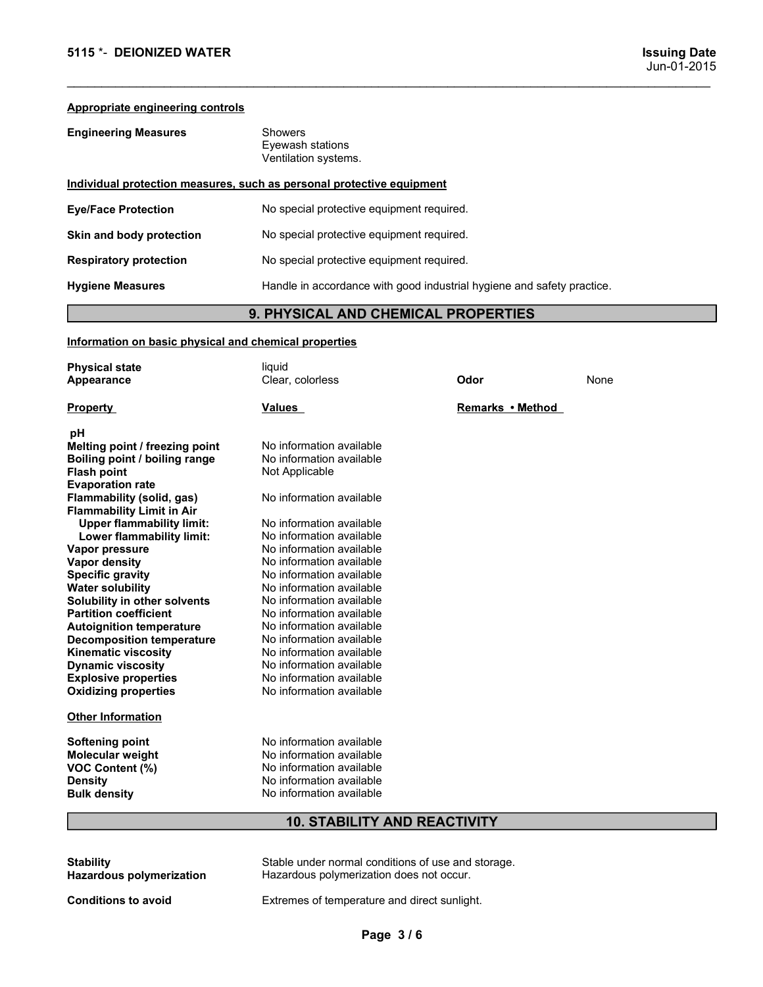| 5115 *- DEIONIZED WATER                                                                                         |                                                                        |                  |      | <b>Issuing Date</b><br>Jun-01-2015 |
|-----------------------------------------------------------------------------------------------------------------|------------------------------------------------------------------------|------------------|------|------------------------------------|
|                                                                                                                 |                                                                        |                  |      |                                    |
| Appropriate engineering controls                                                                                |                                                                        |                  |      |                                    |
| <b>Engineering Measures</b>                                                                                     | Showers<br>Eyewash stations<br>Ventilation systems.                    |                  |      |                                    |
| Individual protection measures, such as personal protective equipment                                           |                                                                        |                  |      |                                    |
| <b>Eye/Face Protection</b>                                                                                      | No special protective equipment required.                              |                  |      |                                    |
| Skin and body protection                                                                                        | No special protective equipment required.                              |                  |      |                                    |
| <b>Respiratory protection</b>                                                                                   | No special protective equipment required.                              |                  |      |                                    |
| <b>Hygiene Measures</b>                                                                                         | Handle in accordance with good industrial hygiene and safety practice. |                  |      |                                    |
|                                                                                                                 | 9. PHYSICAL AND CHEMICAL PROPERTIES                                    |                  |      |                                    |
| Information on basic physical and chemical properties                                                           |                                                                        |                  |      |                                    |
| <b>Physical state</b><br>Appearance                                                                             | liquid<br>Clear, colorless                                             | Odor             | None |                                    |
| <b>Property</b>                                                                                                 | <b>Values</b>                                                          | Remarks • Method |      |                                    |
| pH<br>Melting point / freezing point<br>Boiling point / boiling range<br>Flash point<br><b>Evaporation rate</b> | No information available<br>No information available<br>Not Applicable |                  |      |                                    |
| Flammability (solid, gas)<br><b>Flammability Limit in Air</b>                                                   | No information available                                               |                  |      |                                    |
|                                                                                                                 |                                                                        |                  |      |                                    |

# 9. PHYSICAL AND CHEMICAL PROPERTIES

|                                                                                                                                                                                                                                                                                                                                                                                                                                                                                                                                                                                                                                                                                                                                                               | <u>Individual protection measures, such as personal protective equipment</u>                                                                                                                                                                                                                                                                                                                                                                                                                                                                                                                                                                           |                  |      |  |  |  |  |  |  |
|---------------------------------------------------------------------------------------------------------------------------------------------------------------------------------------------------------------------------------------------------------------------------------------------------------------------------------------------------------------------------------------------------------------------------------------------------------------------------------------------------------------------------------------------------------------------------------------------------------------------------------------------------------------------------------------------------------------------------------------------------------------|--------------------------------------------------------------------------------------------------------------------------------------------------------------------------------------------------------------------------------------------------------------------------------------------------------------------------------------------------------------------------------------------------------------------------------------------------------------------------------------------------------------------------------------------------------------------------------------------------------------------------------------------------------|------------------|------|--|--|--|--|--|--|
| <b>Eye/Face Protection</b>                                                                                                                                                                                                                                                                                                                                                                                                                                                                                                                                                                                                                                                                                                                                    | No special protective equipment required.                                                                                                                                                                                                                                                                                                                                                                                                                                                                                                                                                                                                              |                  |      |  |  |  |  |  |  |
| Skin and body protection                                                                                                                                                                                                                                                                                                                                                                                                                                                                                                                                                                                                                                                                                                                                      | No special protective equipment required.                                                                                                                                                                                                                                                                                                                                                                                                                                                                                                                                                                                                              |                  |      |  |  |  |  |  |  |
| <b>Respiratory protection</b>                                                                                                                                                                                                                                                                                                                                                                                                                                                                                                                                                                                                                                                                                                                                 | No special protective equipment required.                                                                                                                                                                                                                                                                                                                                                                                                                                                                                                                                                                                                              |                  |      |  |  |  |  |  |  |
| <b>Hygiene Measures</b>                                                                                                                                                                                                                                                                                                                                                                                                                                                                                                                                                                                                                                                                                                                                       | Handle in accordance with good industrial hygiene and safety practice.                                                                                                                                                                                                                                                                                                                                                                                                                                                                                                                                                                                 |                  |      |  |  |  |  |  |  |
|                                                                                                                                                                                                                                                                                                                                                                                                                                                                                                                                                                                                                                                                                                                                                               | 9. PHYSICAL AND CHEMICAL PROPERTIES                                                                                                                                                                                                                                                                                                                                                                                                                                                                                                                                                                                                                    |                  |      |  |  |  |  |  |  |
| Information on basic physical and chemical properties                                                                                                                                                                                                                                                                                                                                                                                                                                                                                                                                                                                                                                                                                                         |                                                                                                                                                                                                                                                                                                                                                                                                                                                                                                                                                                                                                                                        |                  |      |  |  |  |  |  |  |
| <b>Physical state</b>                                                                                                                                                                                                                                                                                                                                                                                                                                                                                                                                                                                                                                                                                                                                         | liquid                                                                                                                                                                                                                                                                                                                                                                                                                                                                                                                                                                                                                                                 |                  |      |  |  |  |  |  |  |
| Appearance                                                                                                                                                                                                                                                                                                                                                                                                                                                                                                                                                                                                                                                                                                                                                    | Clear, colorless                                                                                                                                                                                                                                                                                                                                                                                                                                                                                                                                                                                                                                       | Odor             | None |  |  |  |  |  |  |
| <b>Property</b>                                                                                                                                                                                                                                                                                                                                                                                                                                                                                                                                                                                                                                                                                                                                               | Values                                                                                                                                                                                                                                                                                                                                                                                                                                                                                                                                                                                                                                                 | Remarks • Method |      |  |  |  |  |  |  |
| рH<br>Melting point / freezing point<br>Boiling point / boiling range<br><b>Flash point</b><br><b>Evaporation rate</b><br>Flammability (solid, gas)<br><b>Flammability Limit in Air</b><br><b>Upper flammability limit:</b><br>Lower flammability limit:<br>Vapor pressure<br>Vapor density<br><b>Specific gravity</b><br><b>Water solubility</b><br>Solubility in other solvents<br><b>Partition coefficient</b><br><b>Autoignition temperature</b><br><b>Decomposition temperature</b><br><b>Kinematic viscosity</b><br><b>Dynamic viscosity</b><br><b>Explosive properties</b><br><b>Oxidizing properties</b><br><b>Other Information</b><br><b>Softening point</b><br><b>Molecular weight</b><br>VOC Content (%)<br><b>Density</b><br><b>Bulk density</b> | No information available<br>No information available<br>Not Applicable<br>No information available<br>No information available<br>No information available<br>No information available<br>No information available<br>No information available<br>No information available<br>No information available<br>No information available<br>No information available<br>No information available<br>No information available<br>No information available<br>No information available<br>No information available<br>No information available<br>No information available<br>No information available<br>No information available<br>No information available |                  |      |  |  |  |  |  |  |
|                                                                                                                                                                                                                                                                                                                                                                                                                                                                                                                                                                                                                                                                                                                                                               | <b>10. STABILITY AND REACTIVITY</b>                                                                                                                                                                                                                                                                                                                                                                                                                                                                                                                                                                                                                    |                  |      |  |  |  |  |  |  |
| <b>Stability</b><br><b>Hazardous polymerization</b>                                                                                                                                                                                                                                                                                                                                                                                                                                                                                                                                                                                                                                                                                                           | Stable under normal conditions of use and storage.<br>Hazardous polymerization does not occur.                                                                                                                                                                                                                                                                                                                                                                                                                                                                                                                                                         |                  |      |  |  |  |  |  |  |
| <b>Conditions to avoid</b>                                                                                                                                                                                                                                                                                                                                                                                                                                                                                                                                                                                                                                                                                                                                    | Extremes of temperature and direct sunlight.                                                                                                                                                                                                                                                                                                                                                                                                                                                                                                                                                                                                           |                  |      |  |  |  |  |  |  |
|                                                                                                                                                                                                                                                                                                                                                                                                                                                                                                                                                                                                                                                                                                                                                               | Page 3/6                                                                                                                                                                                                                                                                                                                                                                                                                                                                                                                                                                                                                                               |                  |      |  |  |  |  |  |  |
|                                                                                                                                                                                                                                                                                                                                                                                                                                                                                                                                                                                                                                                                                                                                                               |                                                                                                                                                                                                                                                                                                                                                                                                                                                                                                                                                                                                                                                        |                  |      |  |  |  |  |  |  |

| <b>Stability</b>                | Stable under normal conditions of use and sto |
|---------------------------------|-----------------------------------------------|
| <b>Hazardous polymerization</b> | Hazardous polymerization does not occur.      |
| <b>Conditions to avoid</b>      | Extremes of temperature and direct sunlight.  |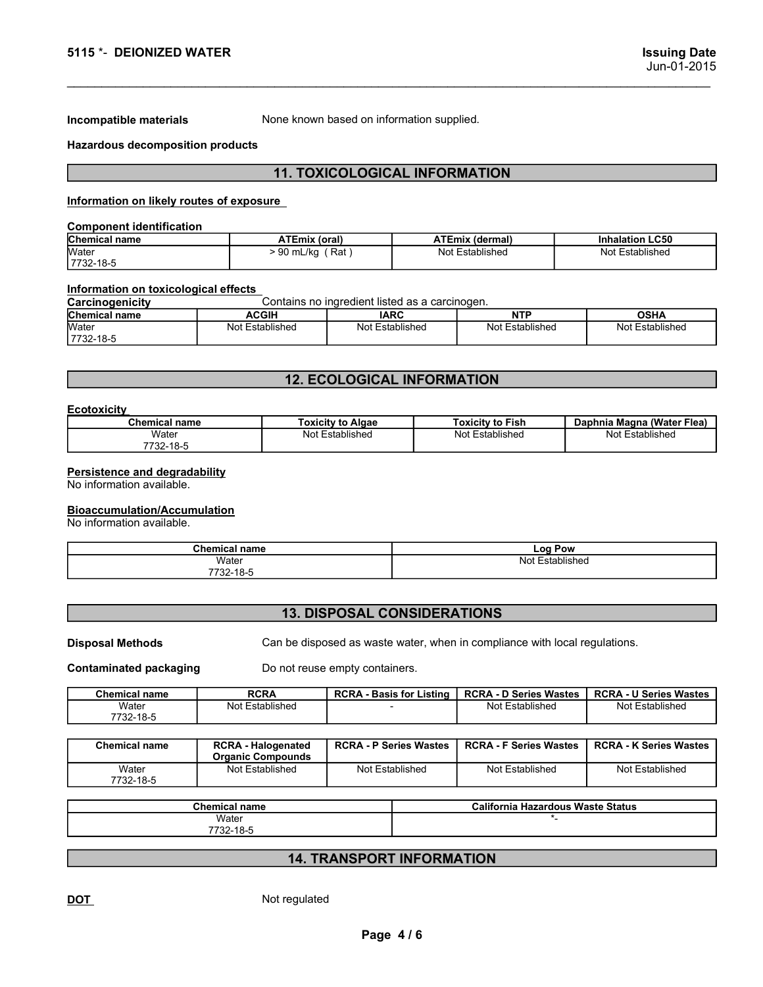5115 \*- DEIONIZED WATER<br>
Issuing Date<br>
Jun-01-2015<br>
Incompatible materials Mone known based on information supplied.

# Incompatible materials<br>
Incompatible materials<br>
None known based on information supplied.<br>
Hazardous decomposition products<br>
11. TOXICOLOGICAL INFORMATION<br>
Information on likely revise of exposure 5115 \*- DEIONIZED WATER<br>Incompatible materials and the stress of endown based on information supplied.<br>Hazardous decomposition products<br>Information on likely routes of exposure<br>Component identifiedies 11. TOXICOLOGICAL INFORMATION

| 5115 *- DEIONIZED WATER<br>None known based on information supplied.<br>Incompatible materials<br><b>Hazardous decomposition products</b><br><b>11. TOXICOLOGICAL INFORMATION</b><br>Information on likely routes of exposure<br><b>Component identification</b><br>Chemical name<br><b>ATEmix (oral)</b><br><b>ATEmix (dermal)</b><br><b>Inhalation LC50</b><br>$> 90$ mL/kg (Rat)<br>Not Established<br>Not Established<br>7732-18-5<br>Information on toxicological effects<br>Contains no ingredient listed as a carcinogen.<br>Chemical name<br><b>IARC</b><br><b>ACGIH</b><br><b>NTP</b><br><b>OSHA</b> |                 |  |                 |
|---------------------------------------------------------------------------------------------------------------------------------------------------------------------------------------------------------------------------------------------------------------------------------------------------------------------------------------------------------------------------------------------------------------------------------------------------------------------------------------------------------------------------------------------------------------------------------------------------------------|-----------------|--|-----------------|
|                                                                                                                                                                                                                                                                                                                                                                                                                                                                                                                                                                                                               |                 |  |                 |
|                                                                                                                                                                                                                                                                                                                                                                                                                                                                                                                                                                                                               |                 |  |                 |
|                                                                                                                                                                                                                                                                                                                                                                                                                                                                                                                                                                                                               |                 |  |                 |
|                                                                                                                                                                                                                                                                                                                                                                                                                                                                                                                                                                                                               |                 |  |                 |
|                                                                                                                                                                                                                                                                                                                                                                                                                                                                                                                                                                                                               |                 |  |                 |
| <b>Issuing Date</b><br>Jun-01-2015                                                                                                                                                                                                                                                                                                                                                                                                                                                                                                                                                                            |                 |  |                 |
|                                                                                                                                                                                                                                                                                                                                                                                                                                                                                                                                                                                                               |                 |  |                 |
|                                                                                                                                                                                                                                                                                                                                                                                                                                                                                                                                                                                                               |                 |  |                 |
|                                                                                                                                                                                                                                                                                                                                                                                                                                                                                                                                                                                                               |                 |  |                 |
|                                                                                                                                                                                                                                                                                                                                                                                                                                                                                                                                                                                                               |                 |  |                 |
|                                                                                                                                                                                                                                                                                                                                                                                                                                                                                                                                                                                                               |                 |  |                 |
|                                                                                                                                                                                                                                                                                                                                                                                                                                                                                                                                                                                                               |                 |  |                 |
|                                                                                                                                                                                                                                                                                                                                                                                                                                                                                                                                                                                                               |                 |  |                 |
|                                                                                                                                                                                                                                                                                                                                                                                                                                                                                                                                                                                                               |                 |  |                 |
|                                                                                                                                                                                                                                                                                                                                                                                                                                                                                                                                                                                                               |                 |  |                 |
|                                                                                                                                                                                                                                                                                                                                                                                                                                                                                                                                                                                                               |                 |  |                 |
|                                                                                                                                                                                                                                                                                                                                                                                                                                                                                                                                                                                                               |                 |  |                 |
|                                                                                                                                                                                                                                                                                                                                                                                                                                                                                                                                                                                                               | Water           |  |                 |
|                                                                                                                                                                                                                                                                                                                                                                                                                                                                                                                                                                                                               |                 |  |                 |
|                                                                                                                                                                                                                                                                                                                                                                                                                                                                                                                                                                                                               |                 |  |                 |
|                                                                                                                                                                                                                                                                                                                                                                                                                                                                                                                                                                                                               | Carcinogenicity |  |                 |
| Water<br>Not Established<br>Not Established<br>Not Established                                                                                                                                                                                                                                                                                                                                                                                                                                                                                                                                                |                 |  | Not Established |

|                                                           | 5115 *- DEIONIZED WATER |                                                |             |                         | <b>Issuing Date</b><br>Jun-01-2015 |
|-----------------------------------------------------------|-------------------------|------------------------------------------------|-------------|-------------------------|------------------------------------|
|                                                           |                         |                                                |             |                         |                                    |
| Incompatible materials                                    |                         | None known based on information supplied.      |             |                         |                                    |
| <b>Hazardous decomposition products</b>                   |                         |                                                |             |                         |                                    |
|                                                           |                         | <b>11. TOXICOLOGICAL INFORMATION</b>           |             |                         |                                    |
| Information on likely routes of exposure                  |                         |                                                |             |                         |                                    |
| <b>Component identification</b>                           |                         |                                                |             |                         |                                    |
| <b>Chemical name</b><br>Water                             |                         | <b>ATEmix (oral)</b>                           |             | <b>ATEmix (dermal)</b>  | <b>Inhalation LC50</b>             |
| 7732-18-5                                                 |                         | $> 90$ mL/kg (Rat)<br>Not Established          |             |                         | Not Established                    |
| Information on toxicological effects<br>Carcinogenicity   |                         | Contains no ingredient listed as a carcinogen. |             |                         |                                    |
|                                                           | <b>ACGIH</b>            |                                                | <b>IARC</b> | <b>NTP</b>              | <b>OSHA</b>                        |
| Chemical name<br>7732-18-5                                | Not Established         | Not Established                                |             | Not Established         | Not Established                    |
|                                                           |                         |                                                |             |                         |                                    |
|                                                           |                         | <b>12. ECOLOGICAL INFORMATION</b>              |             |                         |                                    |
| <b>Ecotoxicity</b>                                        |                         |                                                |             |                         |                                    |
| <b>Chemical name</b>                                      |                         | <b>Toxicity to Algae</b>                       |             | <b>Toxicity to Fish</b> | Daphnia Magna (Water Flea)         |
| Water<br>7732-18-5                                        |                         | Not Established                                |             | Not Established         | Not Established                    |
| <b>Persistence and degradability</b>                      |                         |                                                |             |                         |                                    |
| No information available.                                 |                         |                                                |             |                         |                                    |
|                                                           |                         |                                                |             |                         |                                    |
|                                                           |                         |                                                |             |                         |                                    |
| Bioaccumulation/Accumulation<br>No information available. |                         |                                                |             |                         |                                    |
|                                                           | <b>Chemical name</b>    |                                                |             | <b>Log Pow</b>          |                                    |
|                                                           | Water<br>7732-18-5      |                                                |             | Not Established         |                                    |

# 12. ECOLOGICAL INFORMATION

# **Ecotoxicity**

|                                                                                                                                | AVVIIT                             | טחרו                                                                       | 11 L L                        | <b>UJNA</b>                   |  |
|--------------------------------------------------------------------------------------------------------------------------------|------------------------------------|----------------------------------------------------------------------------|-------------------------------|-------------------------------|--|
| <u>Unennuar name</u><br>Water<br>7732-18-5                                                                                     | Not Established<br>Not Established |                                                                            | Not Established               | Not Established               |  |
|                                                                                                                                |                                    |                                                                            |                               |                               |  |
|                                                                                                                                |                                    | <b>12. ECOLOGICAL INFORMATION</b>                                          |                               |                               |  |
| <b>Ecotoxicity</b>                                                                                                             |                                    |                                                                            |                               |                               |  |
| <b>Chemical name</b>                                                                                                           |                                    | <b>Toxicity to Algae</b>                                                   | <b>Toxicity to Fish</b>       | Daphnia Magna (Water Flea)    |  |
| Water<br>7732-18-5                                                                                                             |                                    | Not Established                                                            | Not Established               | Not Established               |  |
| Persistence and degradability<br>No information available.<br><b>Bioaccumulation/Accumulation</b><br>No information available. |                                    |                                                                            |                               |                               |  |
|                                                                                                                                |                                    |                                                                            |                               |                               |  |
|                                                                                                                                | <b>Chemical name</b><br>Water      |                                                                            | Log Pow<br>Not Established    |                               |  |
|                                                                                                                                |                                    |                                                                            |                               |                               |  |
|                                                                                                                                |                                    | <b>13. DISPOSAL CONSIDERATIONS</b>                                         |                               |                               |  |
| <b>Disposal Methods</b>                                                                                                        |                                    | Can be disposed as waste water, when in compliance with local regulations. |                               |                               |  |
| <b>Contaminated packaging</b>                                                                                                  |                                    | Do not reuse empty containers.                                             |                               |                               |  |
| <b>Chemical name</b>                                                                                                           | <b>RCRA</b>                        | <b>RCRA - Basis for Listing</b>                                            | <b>RCRA - D Series Wastes</b> | <b>RCRA - U Series Wastes</b> |  |
| Water<br>7732-18-5                                                                                                             | Not Established                    |                                                                            | Not Established               | Not Established               |  |
| <b>Chemical name</b>                                                                                                           | <b>RCRA - Halogenated</b>          | <b>RCRA - P Series Wastes</b>                                              | <b>RCRA - F Series Wastes</b> | <b>RCRA - K Series Wastes</b> |  |

# Bioaccumulation/Accumulation

| P <sub>1</sub><br><b>Chemical name</b> | ∟og '<br>Pow                 |
|----------------------------------------|------------------------------|
| Water                                  | ا ۱۸۰<br>:stablished<br>'NUL |
| 7732-18-5                              |                              |

# 13. DISPOSAL CONSIDERATIONS

| Chemical<br>∣ name | <b>RCRA</b>     | <b>RCRA - Basis for Listing</b> | <b>RCRA - D Series Wastes</b> | <b>RCRA - U Series Wastes</b> |
|--------------------|-----------------|---------------------------------|-------------------------------|-------------------------------|
| Water<br>7732-18-5 | Not Established |                                 | Not Established               | Not Established               |

|                                            |                                                       | <b>12. ECOLOGICAL INFORMATION</b>  |                                                                            |                               |
|--------------------------------------------|-------------------------------------------------------|------------------------------------|----------------------------------------------------------------------------|-------------------------------|
|                                            |                                                       |                                    |                                                                            |                               |
| <b>Ecotoxicity</b><br><b>Chemical name</b> |                                                       | <b>Toxicity to Algae</b>           | <b>Toxicity to Fish</b>                                                    | Daphnia Magna (Water Flea)    |
| Water                                      |                                                       | Not Established                    | Not Established                                                            | Not Established               |
| 7732-18-5                                  |                                                       |                                    |                                                                            |                               |
|                                            |                                                       |                                    |                                                                            |                               |
| Persistence and degradability              |                                                       |                                    |                                                                            |                               |
| No information available.                  |                                                       |                                    |                                                                            |                               |
| <b>Bioaccumulation/Accumulation</b>        |                                                       |                                    |                                                                            |                               |
| No information available.                  |                                                       |                                    |                                                                            |                               |
|                                            |                                                       |                                    |                                                                            |                               |
|                                            | <b>Chemical name</b>                                  |                                    | <b>Log Pow</b>                                                             |                               |
|                                            | Water                                                 |                                    | Not Established                                                            |                               |
|                                            | 7732-18-5                                             |                                    |                                                                            |                               |
|                                            |                                                       |                                    |                                                                            |                               |
|                                            |                                                       | <b>13. DISPOSAL CONSIDERATIONS</b> |                                                                            |                               |
|                                            |                                                       |                                    |                                                                            |                               |
| <b>Disposal Methods</b>                    |                                                       |                                    | Can be disposed as waste water, when in compliance with local regulations. |                               |
|                                            |                                                       |                                    |                                                                            |                               |
| <b>Contaminated packaging</b>              |                                                       | Do not reuse empty containers.     |                                                                            |                               |
| <b>Chemical name</b>                       | <b>RCRA</b>                                           | <b>RCRA - Basis for Listing</b>    | <b>RCRA - D Series Wastes</b>                                              | <b>RCRA - U Series Wastes</b> |
| Water                                      | Not Established                                       |                                    | Not Established                                                            | Not Established               |
| 7732-18-5                                  |                                                       |                                    |                                                                            |                               |
|                                            |                                                       |                                    |                                                                            |                               |
| <b>Chemical name</b>                       | <b>RCRA - Halogenated</b><br><b>Organic Compounds</b> | <b>RCRA - P Series Wastes</b>      | <b>RCRA - F Series Wastes</b>                                              | <b>RCRA - K Series Wastes</b> |
| Water                                      | Not Established                                       | Not Established                    | Not Established                                                            | Not Established               |
| 7732-18-5                                  |                                                       |                                    |                                                                            |                               |
|                                            |                                                       |                                    |                                                                            |                               |
|                                            | <b>Chemical name</b><br>Water                         |                                    | <b>California Hazardous Waste Status</b><br>$^\star$ .                     |                               |
|                                            | 7732-18-5                                             |                                    |                                                                            |                               |
|                                            |                                                       |                                    |                                                                            |                               |
|                                            |                                                       | <b>14. TRANSPORT INFORMATION</b>   |                                                                            |                               |
|                                            |                                                       |                                    |                                                                            |                               |
|                                            |                                                       |                                    |                                                                            |                               |
| <u>DOT</u>                                 | Not regulated                                         |                                    |                                                                            |                               |
|                                            |                                                       |                                    |                                                                            |                               |
|                                            |                                                       | Page 4/6                           |                                                                            |                               |
|                                            |                                                       |                                    |                                                                            |                               |
|                                            |                                                       |                                    |                                                                            |                               |
|                                            |                                                       |                                    |                                                                            |                               |
|                                            |                                                       |                                    |                                                                            |                               |

| <b>Chemical name</b> | California<br><b>Hazardous Waste Status</b> |
|----------------------|---------------------------------------------|
| Water<br>7732-18-5   |                                             |

# 14. TRANSPORT INFORMATION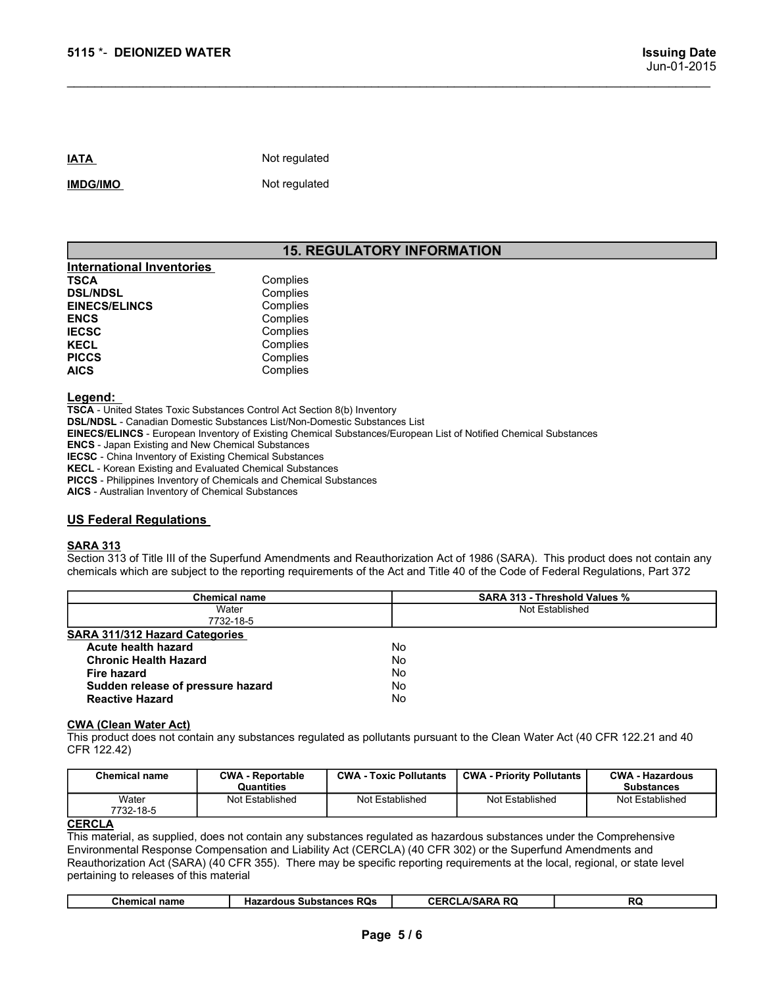# 15. REGULATORY INFORMATION

\_\_\_\_\_\_\_\_\_\_\_\_\_\_\_\_\_\_\_\_\_\_\_\_\_\_\_\_\_\_\_\_\_\_\_\_\_\_\_\_\_\_\_\_\_\_\_\_\_\_\_\_\_\_\_\_\_\_\_\_\_\_\_\_\_\_\_\_\_\_\_\_\_\_\_\_\_\_\_\_\_\_\_\_\_\_\_\_\_\_\_\_\_

| 5115 *- DEIONIZED WATER          |                                   |
|----------------------------------|-----------------------------------|
|                                  |                                   |
| <b>IATA</b>                      | Not regulated                     |
| <b>IMDG/IMO</b>                  | Not regulated                     |
|                                  | <b>15. REGULATORY INFORMATION</b> |
| <b>International Inventories</b> |                                   |
| <b>TSCA</b>                      | Complies                          |
| <b>DSL/NDSL</b>                  | Complies                          |
| <b>EINECS/ELINCS</b>             | Complies                          |
| <b>ENCS</b><br><b>IECSC</b>      | Complies<br>Complies              |
| <b>KECL</b>                      | Complies                          |
| <b>PICCS</b>                     | Complies                          |
| <b>AICS</b>                      | Complies                          |
|                                  |                                   |

# Legend:

TSCA - United States Toxic Substances Control Act Section 8(b) Inventory DSL/NDSL - Canadian Domestic Substances List/Non-Domestic Substances List EINECS/ELINCS - European Inventory of Existing Chemical Substances/European List of Notified Chemical Substances ENCS - Japan Existing and New Chemical Substances IECSC - China Inventory of Existing Chemical Substances KECL - Korean Existing and Evaluated Chemical Substances PICCS - Philippines Inventory of Chemicals and Chemical Substances 15. REGULATORY INFORMATION<br>
International Inventories<br>
ISCA<br>
ISCA Complies<br>
EINECS/ELINCS<br>
EINECS/ELINCS<br>
EINECS<br>
EINECS<br>
IECS<br>
IECS<br>
IECS<br>
IECS<br>
IECS<br>
IECS<br>
IECS<br>
PICCS<br>
PICCS<br>
PICCS<br>
PICCS<br>
PICCS<br>
PICCS<br>
PICCS<br>
PICCS<br>
PI **SECTION METAL SECTION METAL SECTION METAL SECTION COMPRESSED COMPRESSED COMPRESSED COMPRESSED COMPRESSED COMPRESSED COMPRESSED COMPRESSED COMPRESSED COMPRESSED COMPRESSED COMPRESSED COMPRESSED COMPRESSED COMPRESSED COMPRE** chemical international Inventories.<br>
TSCA<br>
Chempies<br>
ENCS<br>
ENCS<br>
ENCS<br>
ENCS<br>
ENCS<br>
ENCS<br>
COMPRISE<br>
ENCS<br>
ENCS<br>
PEGA - United States Toxe Substances Control Act Section 8(b) Inventory<br>
ACT<br>
ACT - Comprises<br>
ACT - Comprises<br>

# SARA 313

| Complies<br><b>DSL/NDSL</b><br><b>EINECS/ELINCS</b><br>Complies<br><b>ENCS</b><br>Complies<br>Complies<br>Complies<br>Complies<br>Complies<br><b>Chemical name</b><br>SARA 313 - Threshold Values %<br>Not Established<br>Water<br>7732-18-5<br>Acute health hazard<br>No<br><b>Chronic Health Hazard</b><br>No<br>No<br><b>Fire hazard</b><br>Sudden release of pressure hazard<br>No<br>No<br><b>Reactive Hazard</b><br><b>CWA - Toxic Pollutants</b><br><b>CWA - Priority Pollutants</b><br><b>CWA - Hazardous</b><br><b>Chemical name</b><br><b>CWA - Reportable</b><br>Quantities<br><b>Substances</b><br>Water<br>Not Established<br>Not Established<br>Not Established<br>Not Established<br>7732-18-5<br><b>CERCLA/SARA RQ</b><br><b>Chemical name</b><br><b>Hazardous Substances RQs</b><br><b>RQ</b><br>Page 5/6                                                                                                                                                                                                                                                                                                                                                                                                                                                                                                                                                                                                                                                                                                             | <b>TSCA</b> | Complies |  |  |
|----------------------------------------------------------------------------------------------------------------------------------------------------------------------------------------------------------------------------------------------------------------------------------------------------------------------------------------------------------------------------------------------------------------------------------------------------------------------------------------------------------------------------------------------------------------------------------------------------------------------------------------------------------------------------------------------------------------------------------------------------------------------------------------------------------------------------------------------------------------------------------------------------------------------------------------------------------------------------------------------------------------------------------------------------------------------------------------------------------------------------------------------------------------------------------------------------------------------------------------------------------------------------------------------------------------------------------------------------------------------------------------------------------------------------------------------------------------------------------------------------------------------------------------|-------------|----------|--|--|
|                                                                                                                                                                                                                                                                                                                                                                                                                                                                                                                                                                                                                                                                                                                                                                                                                                                                                                                                                                                                                                                                                                                                                                                                                                                                                                                                                                                                                                                                                                                                        |             |          |  |  |
| <b>IECSC</b><br><b>KECL</b><br><b>PICCS</b><br><b>AICS</b><br><u>Legend:</u><br>TSCA - United States Toxic Substances Control Act Section 8(b) Inventory<br><b>DSL/NDSL</b> - Canadian Domestic Substances List/Non-Domestic Substances List<br>EINECS/ELINCS - European Inventory of Existing Chemical Substances/European List of Notified Chemical Substances<br><b>ENCS</b> - Japan Existing and New Chemical Substances<br><b>IECSC</b> - China Inventory of Existing Chemical Substances<br>KECL - Korean Existing and Evaluated Chemical Substances<br>PICCS - Philippines Inventory of Chemicals and Chemical Substances<br>AICS - Australian Inventory of Chemical Substances<br><b>US Federal Regulations</b><br><b>SARA 313</b><br>chemicals which are subject to the reporting requirements of the Act and Title 40 of the Code of Federal Regulations, Part 372<br><b>SARA 311/312 Hazard Categories</b><br><b>CWA (Clean Water Act)</b><br>This product does not contain any substances regulated as pollutants pursuant to the Clean Water Act (40 CFR 122.21 and 40<br>CFR 122.42)<br><b>CERCLA</b><br>This material, as supplied, does not contain any substances regulated as hazardous substances under the Comprehensive<br>Environmental Response Compensation and Liability Act (CERCLA) (40 CFR 302) or the Superfund Amendments and<br>Reauthorization Act (SARA) (40 CFR 355). There may be specific reporting requirements at the local, regional, or state level<br>pertaining to releases of this material |             |          |  |  |
|                                                                                                                                                                                                                                                                                                                                                                                                                                                                                                                                                                                                                                                                                                                                                                                                                                                                                                                                                                                                                                                                                                                                                                                                                                                                                                                                                                                                                                                                                                                                        |             |          |  |  |
|                                                                                                                                                                                                                                                                                                                                                                                                                                                                                                                                                                                                                                                                                                                                                                                                                                                                                                                                                                                                                                                                                                                                                                                                                                                                                                                                                                                                                                                                                                                                        |             |          |  |  |
|                                                                                                                                                                                                                                                                                                                                                                                                                                                                                                                                                                                                                                                                                                                                                                                                                                                                                                                                                                                                                                                                                                                                                                                                                                                                                                                                                                                                                                                                                                                                        |             |          |  |  |
|                                                                                                                                                                                                                                                                                                                                                                                                                                                                                                                                                                                                                                                                                                                                                                                                                                                                                                                                                                                                                                                                                                                                                                                                                                                                                                                                                                                                                                                                                                                                        |             |          |  |  |
|                                                                                                                                                                                                                                                                                                                                                                                                                                                                                                                                                                                                                                                                                                                                                                                                                                                                                                                                                                                                                                                                                                                                                                                                                                                                                                                                                                                                                                                                                                                                        |             |          |  |  |
| Section 313 of Title III of the Superfund Amendments and Reauthorization Act of 1986 (SARA). This product does not contain any                                                                                                                                                                                                                                                                                                                                                                                                                                                                                                                                                                                                                                                                                                                                                                                                                                                                                                                                                                                                                                                                                                                                                                                                                                                                                                                                                                                                         |             |          |  |  |
|                                                                                                                                                                                                                                                                                                                                                                                                                                                                                                                                                                                                                                                                                                                                                                                                                                                                                                                                                                                                                                                                                                                                                                                                                                                                                                                                                                                                                                                                                                                                        |             |          |  |  |
|                                                                                                                                                                                                                                                                                                                                                                                                                                                                                                                                                                                                                                                                                                                                                                                                                                                                                                                                                                                                                                                                                                                                                                                                                                                                                                                                                                                                                                                                                                                                        |             |          |  |  |
|                                                                                                                                                                                                                                                                                                                                                                                                                                                                                                                                                                                                                                                                                                                                                                                                                                                                                                                                                                                                                                                                                                                                                                                                                                                                                                                                                                                                                                                                                                                                        |             |          |  |  |
|                                                                                                                                                                                                                                                                                                                                                                                                                                                                                                                                                                                                                                                                                                                                                                                                                                                                                                                                                                                                                                                                                                                                                                                                                                                                                                                                                                                                                                                                                                                                        |             |          |  |  |
|                                                                                                                                                                                                                                                                                                                                                                                                                                                                                                                                                                                                                                                                                                                                                                                                                                                                                                                                                                                                                                                                                                                                                                                                                                                                                                                                                                                                                                                                                                                                        |             |          |  |  |
|                                                                                                                                                                                                                                                                                                                                                                                                                                                                                                                                                                                                                                                                                                                                                                                                                                                                                                                                                                                                                                                                                                                                                                                                                                                                                                                                                                                                                                                                                                                                        |             |          |  |  |
|                                                                                                                                                                                                                                                                                                                                                                                                                                                                                                                                                                                                                                                                                                                                                                                                                                                                                                                                                                                                                                                                                                                                                                                                                                                                                                                                                                                                                                                                                                                                        |             |          |  |  |
|                                                                                                                                                                                                                                                                                                                                                                                                                                                                                                                                                                                                                                                                                                                                                                                                                                                                                                                                                                                                                                                                                                                                                                                                                                                                                                                                                                                                                                                                                                                                        |             |          |  |  |
|                                                                                                                                                                                                                                                                                                                                                                                                                                                                                                                                                                                                                                                                                                                                                                                                                                                                                                                                                                                                                                                                                                                                                                                                                                                                                                                                                                                                                                                                                                                                        |             |          |  |  |
|                                                                                                                                                                                                                                                                                                                                                                                                                                                                                                                                                                                                                                                                                                                                                                                                                                                                                                                                                                                                                                                                                                                                                                                                                                                                                                                                                                                                                                                                                                                                        |             |          |  |  |
|                                                                                                                                                                                                                                                                                                                                                                                                                                                                                                                                                                                                                                                                                                                                                                                                                                                                                                                                                                                                                                                                                                                                                                                                                                                                                                                                                                                                                                                                                                                                        |             |          |  |  |
|                                                                                                                                                                                                                                                                                                                                                                                                                                                                                                                                                                                                                                                                                                                                                                                                                                                                                                                                                                                                                                                                                                                                                                                                                                                                                                                                                                                                                                                                                                                                        |             |          |  |  |
|                                                                                                                                                                                                                                                                                                                                                                                                                                                                                                                                                                                                                                                                                                                                                                                                                                                                                                                                                                                                                                                                                                                                                                                                                                                                                                                                                                                                                                                                                                                                        |             |          |  |  |
|                                                                                                                                                                                                                                                                                                                                                                                                                                                                                                                                                                                                                                                                                                                                                                                                                                                                                                                                                                                                                                                                                                                                                                                                                                                                                                                                                                                                                                                                                                                                        |             |          |  |  |
|                                                                                                                                                                                                                                                                                                                                                                                                                                                                                                                                                                                                                                                                                                                                                                                                                                                                                                                                                                                                                                                                                                                                                                                                                                                                                                                                                                                                                                                                                                                                        |             |          |  |  |
|                                                                                                                                                                                                                                                                                                                                                                                                                                                                                                                                                                                                                                                                                                                                                                                                                                                                                                                                                                                                                                                                                                                                                                                                                                                                                                                                                                                                                                                                                                                                        |             |          |  |  |
|                                                                                                                                                                                                                                                                                                                                                                                                                                                                                                                                                                                                                                                                                                                                                                                                                                                                                                                                                                                                                                                                                                                                                                                                                                                                                                                                                                                                                                                                                                                                        |             |          |  |  |
|                                                                                                                                                                                                                                                                                                                                                                                                                                                                                                                                                                                                                                                                                                                                                                                                                                                                                                                                                                                                                                                                                                                                                                                                                                                                                                                                                                                                                                                                                                                                        |             |          |  |  |
|                                                                                                                                                                                                                                                                                                                                                                                                                                                                                                                                                                                                                                                                                                                                                                                                                                                                                                                                                                                                                                                                                                                                                                                                                                                                                                                                                                                                                                                                                                                                        |             |          |  |  |
|                                                                                                                                                                                                                                                                                                                                                                                                                                                                                                                                                                                                                                                                                                                                                                                                                                                                                                                                                                                                                                                                                                                                                                                                                                                                                                                                                                                                                                                                                                                                        |             |          |  |  |
|                                                                                                                                                                                                                                                                                                                                                                                                                                                                                                                                                                                                                                                                                                                                                                                                                                                                                                                                                                                                                                                                                                                                                                                                                                                                                                                                                                                                                                                                                                                                        |             |          |  |  |

| CWA<br><b>CWA - Priority Pollutants</b><br><b>CWA - Hazardous</b><br><b>CWA</b><br><b>Chemical name</b><br>- Toxic Pollutants<br>- Reportable<br>Quantities<br><b>Substances</b> |
|----------------------------------------------------------------------------------------------------------------------------------------------------------------------------------|
| Not Established<br>Not Established<br>Water<br>Not Established<br>Not Established                                                                                                |
| 7732-18-5                                                                                                                                                                        |

| <b>Chemical name</b> | <b>Substances RQs</b><br>Hazardous | LA/SARA RQ<br><b>CERCL</b> | <b>RC</b> |
|----------------------|------------------------------------|----------------------------|-----------|
|                      |                                    |                            |           |